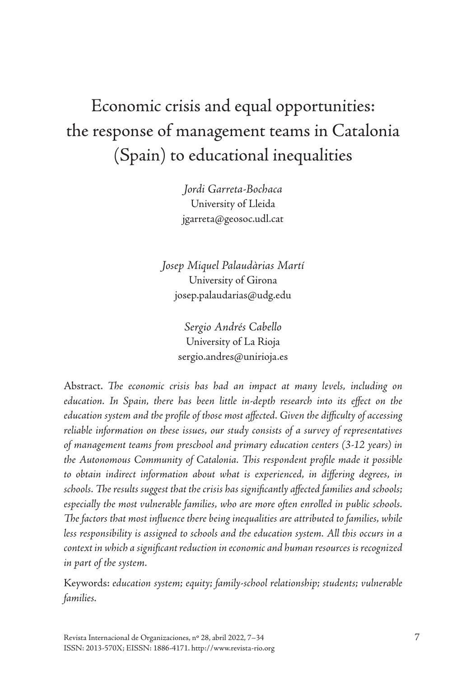# Economic crisis and equal opportunities: the response of management teams in Catalonia (Spain) to educational inequalities

*Jordi Garreta-Bochaca* University of Lleida [jgarreta@geosoc.udl.cat](mailto:jgarreta@geosoc.udl.cat)

*Josep Miquel Palaudàrias Martí* University of Girona [josep.palaudarias@udg.edu](mailto:josep.palaudarias@udg.edu)

> *Sergio Andrés Cabello* University of La Rioja [sergio.andres@unirioja.es](mailto:sergio.andres@unirioja.es)

Abstract. *The economic crisis has had an impact at many levels, including on education. In Spain, there has been little in-depth research into its effect on the education system and the profile of those most affected. Given the difficulty of accessing reliable information on these issues, our study consists of a survey of representatives of management teams from preschool and primary education centers (3-12 years) in the Autonomous Community of Catalonia. This respondent profile made it possible to obtain indirect information about what is experienced, in differing degrees, in schools. The results suggest that the crisis has significantly affected families and schools; especially the most vulnerable families, who are more often enrolled in public schools. The factors that most influence there being inequalities are attributed to families, while less responsibility is assigned to schools and the education system. All this occurs in a context in which a significant reduction in economic and human resources is recognized in part of the system.*

Keywords: *education system; equity; family-school relationship; students; vulnerable families.*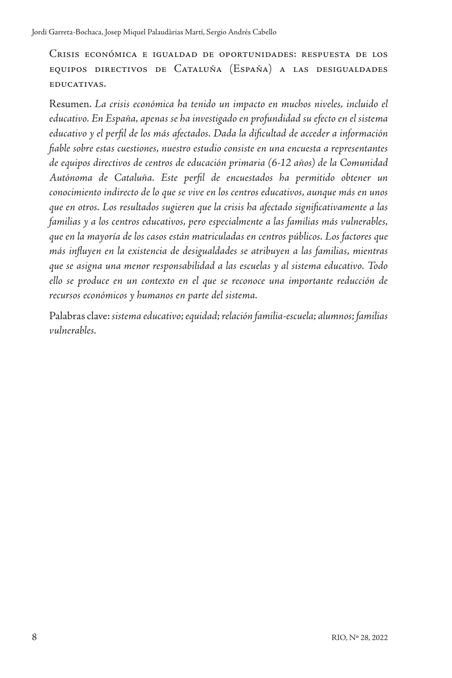Crisis económica e igualdad de oportunidades: respuesta de los equipos directivos de Cataluña (España) a las desigualdades educativas.

Resumen. *La crisis económica ha tenido un impacto en muchos niveles, incluido el educativo. En España, apenas se ha investigado en profundidad su efecto en el sistema educativo y el perfil de los más afectados. Dada la dificultad de acceder a información fiable sobre estas cuestiones, nuestro estudio consiste en una encuesta a representantes de equipos directivos de centros de educación primaria (6-12 años) de la Comunidad Autónoma de Cataluña. Este perfil de encuestados ha permitido obtener un conocimiento indirecto de lo que se vive en los centros educativos, aunque más en unos que en otros. Los resultados sugieren que la crisis ha afectado significativamente a las familias y a los centros educativos, pero especialmente a las familias más vulnerables, que en la mayoría de los casos están matriculadas en centros públicos. Los factores que más influyen en la existencia de desigualdades se atribuyen a las familias, mientras que se asigna una menor responsabilidad a las escuelas y al sistema educativo. Todo ello se produce en un contexto en el que se reconoce una importante reducción de recursos económicos y humanos en parte del sistema.*

Palabras clave: *sistema educativo; equidad; relación familia-escuela; alumnos; familias vulnerables.*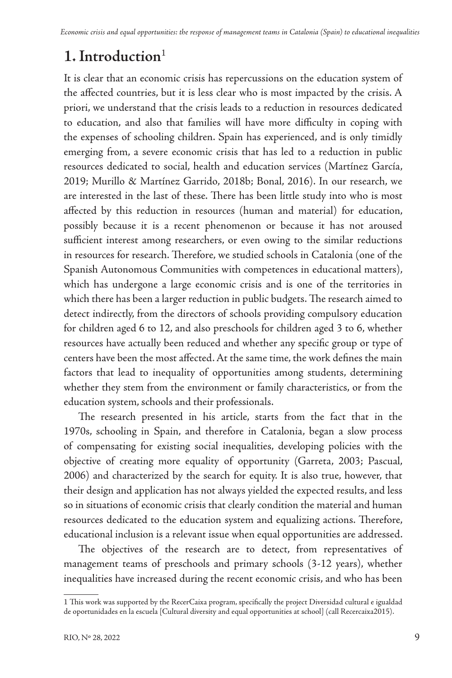# **1. Introduction**<sup>1</sup>

It is clear that an economic crisis has repercussions on the education system of the affected countries, but it is less clear who is most impacted by the crisis. A priori, we understand that the crisis leads to a reduction in resources dedicated to education, and also that families will have more difficulty in coping with the expenses of schooling children. Spain has experienced, and is only timidly emerging from, a severe economic crisis that has led to a reduction in public resources dedicated to social, health and education services (Martínez García, 2019; Murillo & Martínez Garrido, 2018b; Bonal, 2016). In our research, we are interested in the last of these. There has been little study into who is most affected by this reduction in resources (human and material) for education, possibly because it is a recent phenomenon or because it has not aroused sufficient interest among researchers, or even owing to the similar reductions in resources for research. Therefore, we studied schools in Catalonia (one of the Spanish Autonomous Communities with competences in educational matters), which has undergone a large economic crisis and is one of the territories in which there has been a larger reduction in public budgets. The research aimed to detect indirectly, from the directors of schools providing compulsory education for children aged 6 to 12, and also preschools for children aged 3 to 6, whether resources have actually been reduced and whether any specific group or type of centers have been the most affected. At the same time, the work defines the main factors that lead to inequality of opportunities among students, determining whether they stem from the environment or family characteristics, or from the education system, schools and their professionals.

The research presented in his article, starts from the fact that in the 1970s, schooling in Spain, and therefore in Catalonia, began a slow process of compensating for existing social inequalities, developing policies with the objective of creating more equality of opportunity (Garreta, 2003; Pascual, 2006) and characterized by the search for equity. It is also true, however, that their design and application has not always yielded the expected results, and less so in situations of economic crisis that clearly condition the material and human resources dedicated to the education system and equalizing actions. Therefore, educational inclusion is a relevant issue when equal opportunities are addressed.

The objectives of the research are to detect, from representatives of management teams of preschools and primary schools (3-12 years), whether inequalities have increased during the recent economic crisis, and who has been

<sup>1</sup> This work was supported by the RecerCaixa program, specifically the project Diversidad cultural e igualdad de oportunidades en la escuela [Cultural diversity and equal opportunities at school] (call Recercaixa2015).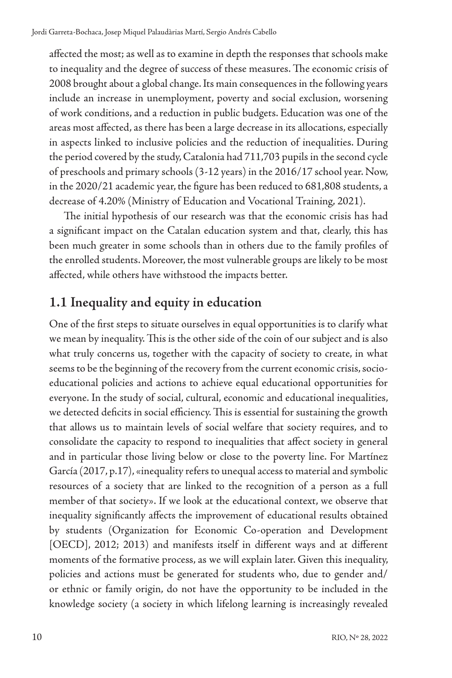affected the most; as well as to examine in depth the responses that schools make to inequality and the degree of success of these measures. The economic crisis of 2008 brought about a global change. Its main consequences in the following years include an increase in unemployment, poverty and social exclusion, worsening of work conditions, and a reduction in public budgets. Education was one of the areas most affected, as there has been a large decrease in its allocations, especially in aspects linked to inclusive policies and the reduction of inequalities. During the period covered by the study, Catalonia had 711,703 pupils in the second cycle of preschools and primary schools (3-12 years) in the 2016/17 school year. Now, in the 2020/21 academic year, the figure has been reduced to 681,808 students, a decrease of 4.20% (Ministry of Education and Vocational Training, 2021).

The initial hypothesis of our research was that the economic crisis has had a significant impact on the Catalan education system and that, clearly, this has been much greater in some schools than in others due to the family profiles of the enrolled students. Moreover, the most vulnerable groups are likely to be most affected, while others have withstood the impacts better.

#### **1.1 Inequality and equity in education**

One of the first steps to situate ourselves in equal opportunities is to clarify what we mean by inequality. This is the other side of the coin of our subject and is also what truly concerns us, together with the capacity of society to create, in what seems to be the beginning of the recovery from the current economic crisis, socioeducational policies and actions to achieve equal educational opportunities for everyone. In the study of social, cultural, economic and educational inequalities, we detected deficits in social efficiency. This is essential for sustaining the growth that allows us to maintain levels of social welfare that society requires, and to consolidate the capacity to respond to inequalities that affect society in general and in particular those living below or close to the poverty line. For Martínez García (2017, p.17), «inequality refers to unequal access to material and symbolic resources of a society that are linked to the recognition of a person as a full member of that society». If we look at the educational context, we observe that inequality significantly affects the improvement of educational results obtained by students (Organization for Economic Co-operation and Development [OECD], 2012; 2013) and manifests itself in different ways and at different moments of the formative process, as we will explain later. Given this inequality, policies and actions must be generated for students who, due to gender and/ or ethnic or family origin, do not have the opportunity to be included in the knowledge society (a society in which lifelong learning is increasingly revealed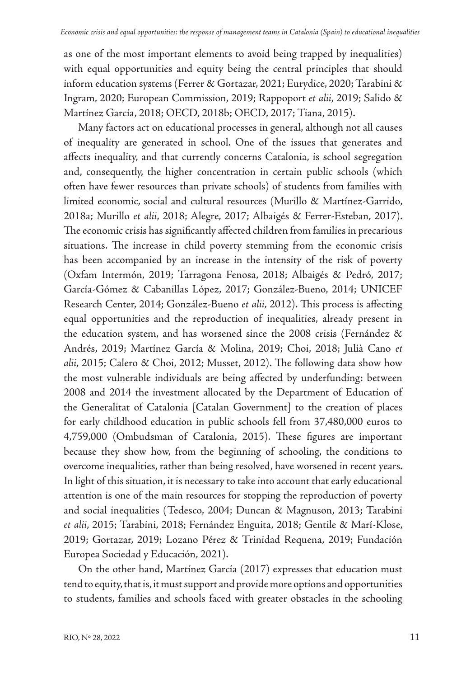as one of the most important elements to avoid being trapped by inequalities) with equal opportunities and equity being the central principles that should inform education systems (Ferrer & Gortazar, 2021; Eurydice, 2020; Tarabini & Ingram, 2020; European Commission, 2019; Rappoport *et alii*, 2019; Salido & Martínez García, 2018; OECD, 2018b; OECD, 2017; Tiana, 2015).

Many factors act on educational processes in general, although not all causes of inequality are generated in school. One of the issues that generates and affects inequality, and that currently concerns Catalonia, is school segregation and, consequently, the higher concentration in certain public schools (which often have fewer resources than private schools) of students from families with limited economic, social and cultural resources (Murillo & Martínez-Garrido, 2018a; Murillo *et alii*, 2018; Alegre, 2017; Albaigés & Ferrer-Esteban, 2017). The economic crisis has significantly affected children from families in precarious situations. The increase in child poverty stemming from the economic crisis has been accompanied by an increase in the intensity of the risk of poverty (Oxfam Intermón, 2019; Tarragona Fenosa, 2018; Albaigés & Pedró, 2017; García-Gómez & Cabanillas López, 2017; González-Bueno, 2014; UNICEF Research Center, 2014; González-Bueno *et alii*, 2012). This process is affecting equal opportunities and the reproduction of inequalities, already present in the education system, and has worsened since the 2008 crisis (Fernández & Andrés, 2019; Martínez García & Molina, 2019; Choi, 2018; Julià Cano *et alii*, 2015; Calero & Choi, 2012; Musset, 2012). The following data show how the most vulnerable individuals are being affected by underfunding: between 2008 and 2014 the investment allocated by the Department of Education of the Generalitat of Catalonia [Catalan Government] to the creation of places for early childhood education in public schools fell from 37,480,000 euros to 4,759,000 (Ombudsman of Catalonia, 2015). These figures are important because they show how, from the beginning of schooling, the conditions to overcome inequalities, rather than being resolved, have worsened in recent years. In light of this situation, it is necessary to take into account that early educational attention is one of the main resources for stopping the reproduction of poverty and social inequalities (Tedesco, 2004; Duncan & Magnuson, 2013; Tarabini *et alii*, 2015; Tarabini, 2018; Fernández Enguita, 2018; Gentile & Marí-Klose, 2019; Gortazar, 2019; Lozano Pérez & Trinidad Requena, 2019; Fundación Europea Sociedad y Educación, 2021).

On the other hand, Martínez García (2017) expresses that education must tend to equity, that is, it must support and provide more options and opportunities to students, families and schools faced with greater obstacles in the schooling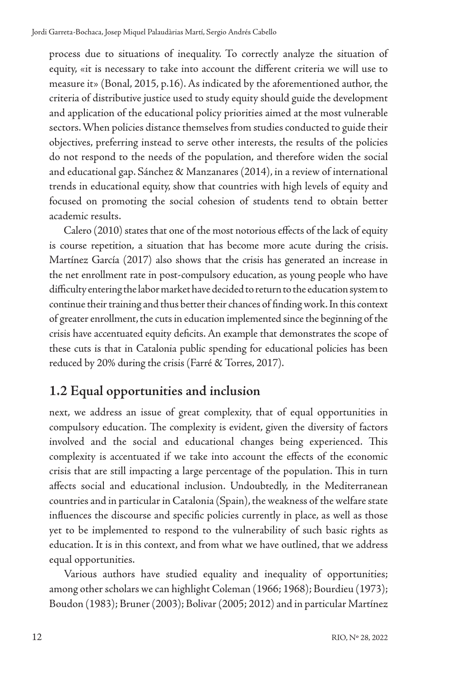process due to situations of inequality. To correctly analyze the situation of equity, «it is necessary to take into account the different criteria we will use to measure it» (Bonal, 2015, p.16). As indicated by the aforementioned author, the criteria of distributive justice used to study equity should guide the development and application of the educational policy priorities aimed at the most vulnerable sectors. When policies distance themselves from studies conducted to guide their objectives, preferring instead to serve other interests, the results of the policies do not respond to the needs of the population, and therefore widen the social and educational gap. Sánchez & Manzanares (2014), in a review of international trends in educational equity, show that countries with high levels of equity and focused on promoting the social cohesion of students tend to obtain better academic results.

Calero (2010) states that one of the most notorious effects of the lack of equity is course repetition, a situation that has become more acute during the crisis. Martínez García (2017) also shows that the crisis has generated an increase in the net enrollment rate in post-compulsory education, as young people who have difficulty entering the labor market have decided to return to the education system to continue their training and thus better their chances of finding work. In this context of greater enrollment, the cuts in education implemented since the beginning of the crisis have accentuated equity deficits. An example that demonstrates the scope of these cuts is that in Catalonia public spending for educational policies has been reduced by 20% during the crisis (Farré & Torres, 2017).

#### **1.2 Equal opportunities and inclusion**

next, we address an issue of great complexity, that of equal opportunities in compulsory education. The complexity is evident, given the diversity of factors involved and the social and educational changes being experienced. This complexity is accentuated if we take into account the effects of the economic crisis that are still impacting a large percentage of the population. This in turn affects social and educational inclusion. Undoubtedly, in the Mediterranean countries and in particular in Catalonia (Spain), the weakness of the welfare state influences the discourse and specific policies currently in place, as well as those yet to be implemented to respond to the vulnerability of such basic rights as education. It is in this context, and from what we have outlined, that we address equal opportunities.

Various authors have studied equality and inequality of opportunities; among other scholars we can highlight Coleman (1966; 1968); Bourdieu (1973); Boudon (1983); Bruner (2003); Bolivar (2005; 2012) and in particular Martínez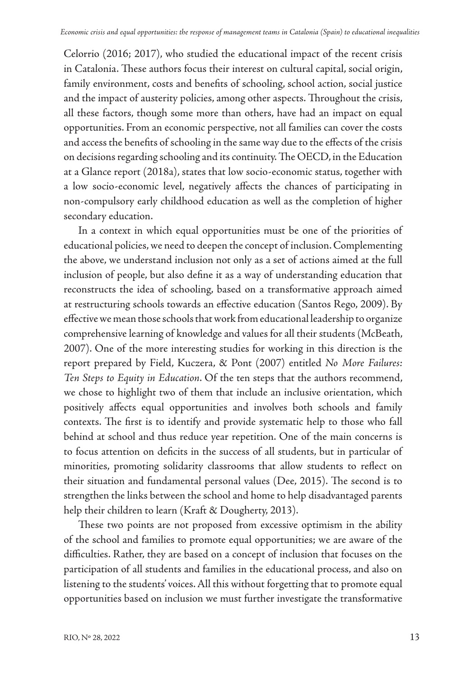Celorrio (2016; 2017), who studied the educational impact of the recent crisis in Catalonia. These authors focus their interest on cultural capital, social origin, family environment, costs and benefits of schooling, school action, social justice and the impact of austerity policies, among other aspects. Throughout the crisis, all these factors, though some more than others, have had an impact on equal opportunities. From an economic perspective, not all families can cover the costs and access the benefits of schooling in the same way due to the effects of the crisis on decisions regarding schooling and its continuity. The OECD, in the Education at a Glance report (2018a), states that low socio-economic status, together with a low socio-economic level, negatively affects the chances of participating in non-compulsory early childhood education as well as the completion of higher secondary education.

In a context in which equal opportunities must be one of the priorities of educational policies, we need to deepen the concept of inclusion. Complementing the above, we understand inclusion not only as a set of actions aimed at the full inclusion of people, but also define it as a way of understanding education that reconstructs the idea of schooling, based on a transformative approach aimed at restructuring schools towards an effective education (Santos Rego, 2009). By effective we mean those schools that work from educational leadership to organize comprehensive learning of knowledge and values for all their students (McBeath, 2007). One of the more interesting studies for working in this direction is the report prepared by Field, Kuczera, & Pont (2007) entitled *No More Failures: Ten Steps to Equity in Education*. Of the ten steps that the authors recommend, we chose to highlight two of them that include an inclusive orientation, which positively affects equal opportunities and involves both schools and family contexts. The first is to identify and provide systematic help to those who fall behind at school and thus reduce year repetition. One of the main concerns is to focus attention on deficits in the success of all students, but in particular of minorities, promoting solidarity classrooms that allow students to reflect on their situation and fundamental personal values (Dee, 2015). The second is to strengthen the links between the school and home to help disadvantaged parents help their children to learn (Kraft & Dougherty, 2013).

These two points are not proposed from excessive optimism in the ability of the school and families to promote equal opportunities; we are aware of the difficulties. Rather, they are based on a concept of inclusion that focuses on the participation of all students and families in the educational process, and also on listening to the students' voices. All this without forgetting that to promote equal opportunities based on inclusion we must further investigate the transformative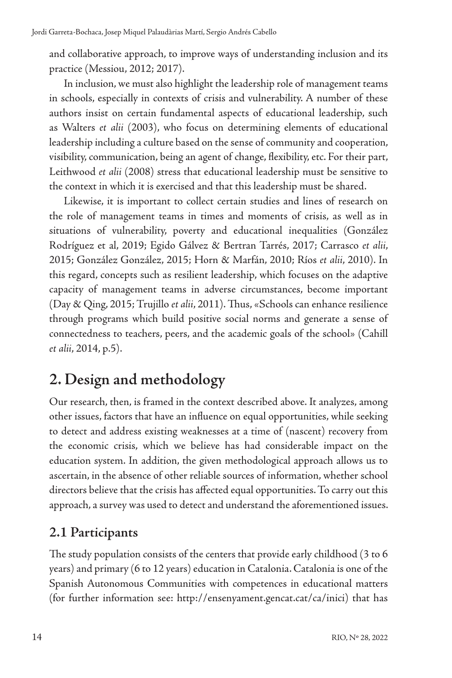and collaborative approach, to improve ways of understanding inclusion and its practice (Messiou, 2012; 2017).

In inclusion, we must also highlight the leadership role of management teams in schools, especially in contexts of crisis and vulnerability. A number of these authors insist on certain fundamental aspects of educational leadership, such as Walters *et alii* (2003), who focus on determining elements of educational leadership including a culture based on the sense of community and cooperation, visibility, communication, being an agent of change, flexibility, etc. For their part, Leithwood *et alii* (2008) stress that educational leadership must be sensitive to the context in which it is exercised and that this leadership must be shared.

Likewise, it is important to collect certain studies and lines of research on the role of management teams in times and moments of crisis, as well as in situations of vulnerability, poverty and educational inequalities (González Rodríguez et al, 2019; Egido Gálvez & Bertran Tarrés, 2017; Carrasco *et alii*, 2015; González González, 2015; Horn & Marfán, 2010; Ríos *et alii*, 2010). In this regard, concepts such as resilient leadership, which focuses on the adaptive capacity of management teams in adverse circumstances, become important (Day & Qing, 2015; Trujillo *et alii*, 2011). Thus, «Schools can enhance resilience through programs which build positive social norms and generate a sense of connectedness to teachers, peers, and the academic goals of the school» (Cahill *et alii*, 2014, p.5).

### **2. Design and methodology**

Our research, then, is framed in the context described above. It analyzes, among other issues, factors that have an influence on equal opportunities, while seeking to detect and address existing weaknesses at a time of (nascent) recovery from the economic crisis, which we believe has had considerable impact on the education system. In addition, the given methodological approach allows us to ascertain, in the absence of other reliable sources of information, whether school directors believe that the crisis has affected equal opportunities. To carry out this approach, a survey was used to detect and understand the aforementioned issues.

#### **2.1 Participants**

The study population consists of the centers that provide early childhood (3 to 6 years) and primary (6 to 12 years) education in Catalonia. Catalonia is one of the Spanish Autonomous Communities with competences in educational matters (for further information see: http://ensenyament.gencat.cat/ca/inici) that has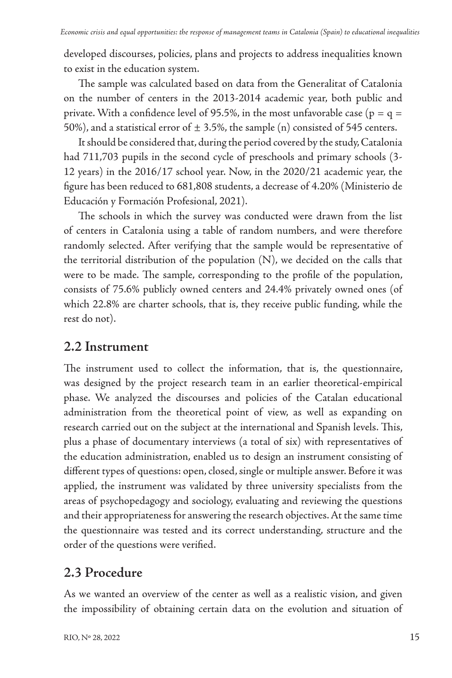developed discourses, policies, plans and projects to address inequalities known to exist in the education system.

The sample was calculated based on data from the Generalitat of Catalonia on the number of centers in the 2013-2014 academic year, both public and private. With a confidence level of 95.5%, in the most unfavorable case ( $p = q =$ 50%), and a statistical error of  $\pm$  3.5%, the sample (n) consisted of 545 centers.

It should be considered that, during the period covered by the study, Catalonia had 711,703 pupils in the second cycle of preschools and primary schools (3- 12 years) in the 2016/17 school year. Now, in the 2020/21 academic year, the figure has been reduced to 681,808 students, a decrease of 4.20% (Ministerio de Educación y Formación Profesional, 2021).

The schools in which the survey was conducted were drawn from the list of centers in Catalonia using a table of random numbers, and were therefore randomly selected. After verifying that the sample would be representative of the territorial distribution of the population (N), we decided on the calls that were to be made. The sample, corresponding to the profile of the population, consists of 75.6% publicly owned centers and 24.4% privately owned ones (of which 22.8% are charter schools, that is, they receive public funding, while the rest do not).

#### **2.2 Instrument**

The instrument used to collect the information, that is, the questionnaire, was designed by the project research team in an earlier theoretical-empirical phase. We analyzed the discourses and policies of the Catalan educational administration from the theoretical point of view, as well as expanding on research carried out on the subject at the international and Spanish levels. This, plus a phase of documentary interviews (a total of six) with representatives of the education administration, enabled us to design an instrument consisting of different types of questions: open, closed, single or multiple answer. Before it was applied, the instrument was validated by three university specialists from the areas of psychopedagogy and sociology, evaluating and reviewing the questions and their appropriateness for answering the research objectives. At the same time the questionnaire was tested and its correct understanding, structure and the order of the questions were verified.

#### **2.3 Procedure**

As we wanted an overview of the center as well as a realistic vision, and given the impossibility of obtaining certain data on the evolution and situation of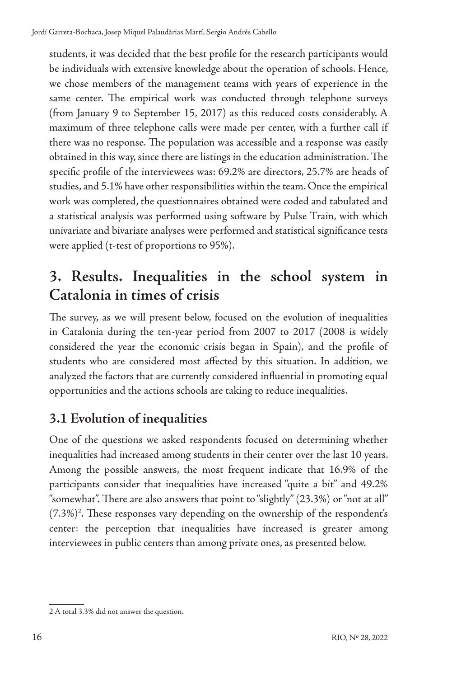students, it was decided that the best profile for the research participants would be individuals with extensive knowledge about the operation of schools. Hence, we chose members of the management teams with years of experience in the same center. The empirical work was conducted through telephone surveys (from January 9 to September 15, 2017) as this reduced costs considerably. A maximum of three telephone calls were made per center, with a further call if there was no response. The population was accessible and a response was easily obtained in this way, since there are listings in the education administration. The specific profile of the interviewees was: 69.2% are directors, 25.7% are heads of studies, and 5.1% have other responsibilities within the team. Once the empirical work was completed, the questionnaires obtained were coded and tabulated and a statistical analysis was performed using software by Pulse Train, with which univariate and bivariate analyses were performed and statistical significance tests were applied (t-test of proportions to 95%).

### **3. Results. Inequalities in the school system in Catalonia in times of crisis**

The survey, as we will present below, focused on the evolution of inequalities in Catalonia during the ten-year period from 2007 to 2017 (2008 is widely considered the year the economic crisis began in Spain), and the profile of students who are considered most affected by this situation. In addition, we analyzed the factors that are currently considered influential in promoting equal opportunities and the actions schools are taking to reduce inequalities.

#### **3.1 Evolution of inequalities**

One of the questions we asked respondents focused on determining whether inequalities had increased among students in their center over the last 10 years. Among the possible answers, the most frequent indicate that 16.9% of the participants consider that inequalities have increased "quite a bit" and 49.2% "somewhat". There are also answers that point to "slightly" (23.3%) or "not at all" (7.3%)2 . These responses vary depending on the ownership of the respondent's center: the perception that inequalities have increased is greater among interviewees in public centers than among private ones, as presented below.

<sup>2</sup> A total 3.3% did not answer the question.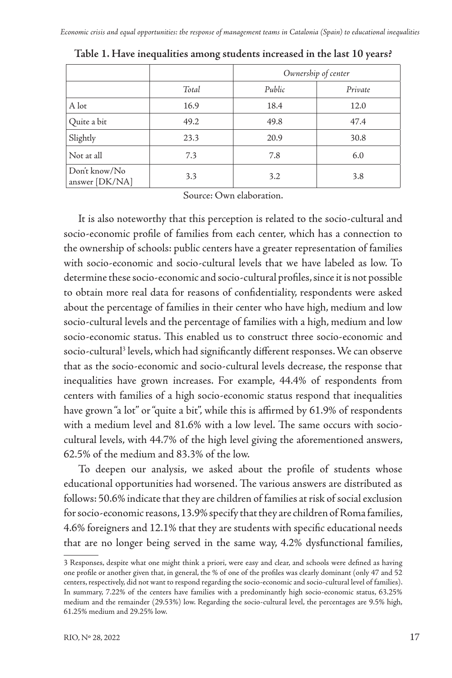|                                 |       | Ownership of center |         |
|---------------------------------|-------|---------------------|---------|
|                                 | Total | Public              | Private |
| A lot                           | 16.9  | 18.4                | 12.0    |
| Quite a bit                     | 49.2  | 49.8                | 47.4    |
| Slightly                        | 23.3  | 20.9                | 30.8    |
| Not at all                      | 7.3   | 7.8                 | 6.0     |
| Don't know/No<br>answer [DK/NA] | 3.3   | 3.2                 | 3.8     |

**Table 1. Have inequalities among students increased in the last 10 years?**

Source: Own elaboration.

It is also noteworthy that this perception is related to the socio-cultural and socio-economic profile of families from each center, which has a connection to the ownership of schools: public centers have a greater representation of families with socio-economic and socio-cultural levels that we have labeled as low. To determine these socio-economic and socio-cultural profiles, since it is not possible to obtain more real data for reasons of confidentiality, respondents were asked about the percentage of families in their center who have high, medium and low socio-cultural levels and the percentage of families with a high, medium and low socio-economic status. This enabled us to construct three socio-economic and socio-cultural<sup>3</sup> levels, which had significantly different responses. We can observe that as the socio-economic and socio-cultural levels decrease, the response that inequalities have grown increases. For example, 44.4% of respondents from centers with families of a high socio-economic status respond that inequalities have grown "a lot" or "quite a bit", while this is affirmed by 61.9% of respondents with a medium level and 81.6% with a low level. The same occurs with sociocultural levels, with 44.7% of the high level giving the aforementioned answers, 62.5% of the medium and 83.3% of the low.

To deepen our analysis, we asked about the profile of students whose educational opportunities had worsened. The various answers are distributed as follows: 50.6% indicate that they are children of families at risk of social exclusion for socio-economic reasons, 13.9% specify that they are children of Roma families, 4.6% foreigners and 12.1% that they are students with specific educational needs that are no longer being served in the same way, 4.2% dysfunctional families,

<sup>3</sup> Responses, despite what one might think a priori, were easy and clear, and schools were defined as having one profile or another given that, in general, the % of one of the profiles was clearly dominant (only 47 and 52 centers, respectively, did not want to respond regarding the socio-economic and socio-cultural level of families). In summary, 7.22% of the centers have families with a predominantly high socio-economic status, 63.25% medium and the remainder (29.53%) low. Regarding the socio-cultural level, the percentages are 9.5% high, 61.25% medium and 29.25% low.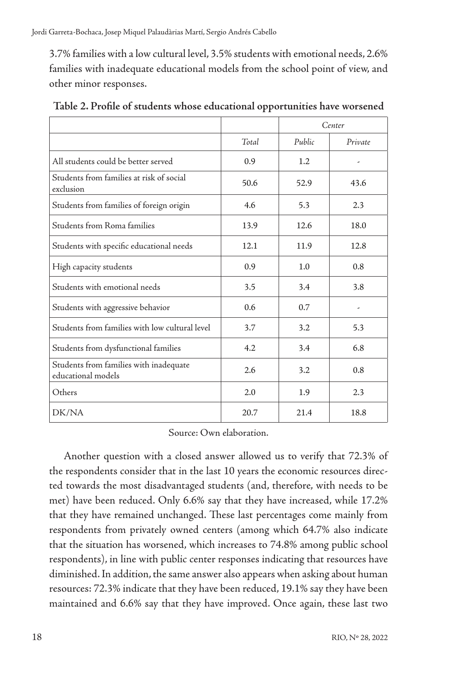3.7% families with a low cultural level, 3.5% students with emotional needs, 2.6% families with inadequate educational models from the school point of view, and other minor responses.

|                                                              |       | Center |         |
|--------------------------------------------------------------|-------|--------|---------|
|                                                              | Total | Public | Private |
| All students could be better served                          | 0.9   | 1.2    | ٠       |
| Students from families at risk of social<br>exclusion        | 50.6  | 52.9   | 43.6    |
| Students from families of foreign origin                     | 4.6   | 5.3    | 2.3     |
| Students from Roma families                                  | 13.9  | 12.6   | 18.0    |
| Students with specific educational needs                     | 12.1  | 11.9   | 12.8    |
| High capacity students                                       | 0.9   | 1.0    | 0.8     |
| Students with emotional needs                                | 3.5   | 3.4    | 3.8     |
| Students with aggressive behavior                            | 0.6   | 0.7    | ٠       |
| Students from families with low cultural level               | 3.7   | 3.2    | 5.3     |
| Students from dysfunctional families                         | 4.2   | 3.4    | 6.8     |
| Students from families with inadequate<br>educational models | 2.6   | 3.2    | 0.8     |
| Others                                                       | 2.0   | 1.9    | 2.3     |
| DK/NA                                                        | 20.7  | 21.4   | 18.8    |

**Table 2. Profile of students whose educational opportunities have worsened**

Source: Own elaboration.

Another question with a closed answer allowed us to verify that 72.3% of the respondents consider that in the last 10 years the economic resources directed towards the most disadvantaged students (and, therefore, with needs to be met) have been reduced. Only 6.6% say that they have increased, while 17.2% that they have remained unchanged. These last percentages come mainly from respondents from privately owned centers (among which 64.7% also indicate that the situation has worsened, which increases to 74.8% among public school respondents), in line with public center responses indicating that resources have diminished. In addition, the same answer also appears when asking about human resources: 72.3% indicate that they have been reduced, 19.1% say they have been maintained and 6.6% say that they have improved. Once again, these last two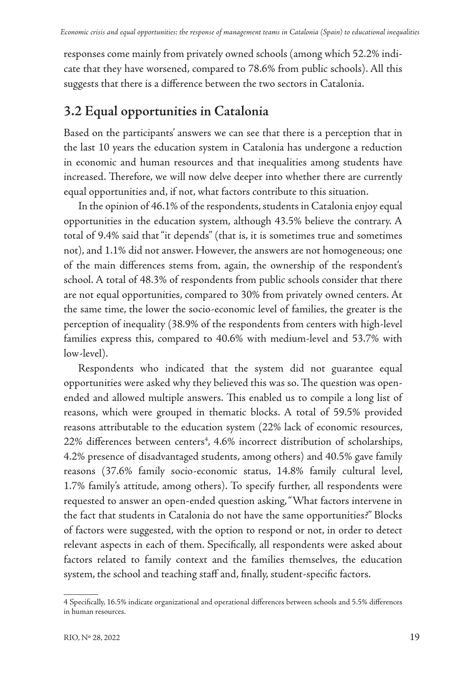responses come mainly from privately owned schools (among which 52.2% indicate that they have worsened, compared to 78.6% from public schools). All this suggests that there is a difference between the two sectors in Catalonia.

#### **3.2 Equal opportunities in Catalonia**

Based on the participants' answers we can see that there is a perception that in the last 10 years the education system in Catalonia has undergone a reduction in economic and human resources and that inequalities among students have increased. Therefore, we will now delve deeper into whether there are currently equal opportunities and, if not, what factors contribute to this situation.

In the opinion of 46.1% of the respondents, students in Catalonia enjoy equal opportunities in the education system, although 43.5% believe the contrary. A total of 9.4% said that "it depends" (that is, it is sometimes true and sometimes not), and 1.1% did not answer. However, the answers are not homogeneous; one of the main differences stems from, again, the ownership of the respondent's school. A total of 48.3% of respondents from public schools consider that there are not equal opportunities, compared to 30% from privately owned centers. At the same time, the lower the socio-economic level of families, the greater is the perception of inequality (38.9% of the respondents from centers with high-level families express this, compared to 40.6% with medium-level and 53.7% with low-level).

Respondents who indicated that the system did not guarantee equal opportunities were asked why they believed this was so. The question was openended and allowed multiple answers. This enabled us to compile a long list of reasons, which were grouped in thematic blocks. A total of 59.5% provided reasons attributable to the education system (22% lack of economic resources, 22% differences between centers<sup>4</sup>, 4.6% incorrect distribution of scholarships, 4.2% presence of disadvantaged students, among others) and 40.5% gave family reasons (37.6% family socio-economic status, 14.8% family cultural level, 1.7% family's attitude, among others). To specify further, all respondents were requested to answer an open-ended question asking, "What factors intervene in the fact that students in Catalonia do not have the same opportunities?" Blocks of factors were suggested, with the option to respond or not, in order to detect relevant aspects in each of them. Specifically, all respondents were asked about factors related to family context and the families themselves, the education system, the school and teaching staff and, finally, student-specific factors.

<sup>4</sup> Specifically, 16.5% indicate organizational and operational differences between schools and 5.5% differences in human resources.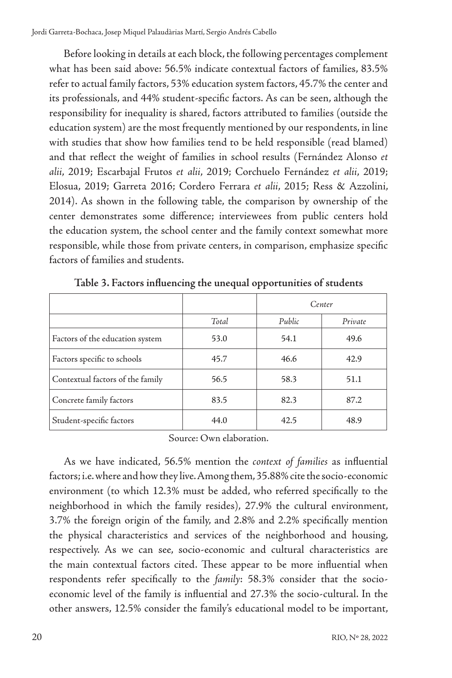Before looking in details at each block, the following percentages complement what has been said above: 56.5% indicate contextual factors of families, 83.5% refer to actual family factors, 53% education system factors, 45.7% the center and its professionals, and 44% student-specific factors. As can be seen, although the responsibility for inequality is shared, factors attributed to families (outside the education system) are the most frequently mentioned by our respondents, in line with studies that show how families tend to be held responsible (read blamed) and that reflect the weight of families in school results (Fernández Alonso *et alii*, 2019; Escarbajal Frutos *et alii*, 2019; Corchuelo Fernández *et alii*, 2019; Elosua, 2019; Garreta 2016; Cordero Ferrara *et alii*, 2015; Ress & Azzolini, 2014). As shown in the following table, the comparison by ownership of the center demonstrates some difference; interviewees from public centers hold the education system, the school center and the family context somewhat more responsible, while those from private centers, in comparison, emphasize specific factors of families and students.

|                                  |       | Center |         |  |
|----------------------------------|-------|--------|---------|--|
|                                  | Total | Public | Private |  |
| Factors of the education system  | 53.0  | 54.1   | 49.6    |  |
| Factors specific to schools      | 45.7  | 46.6   | 42.9    |  |
| Contextual factors of the family | 56.5  | 58.3   | 51.1    |  |
| Concrete family factors          | 83.5  | 82.3   | 87.2    |  |
| Student-specific factors         | 44.0  | 42.5   | 48.9    |  |

**Table 3. Factors influencing the unequal opportunities of students**

Source: Own elaboration.

As we have indicated, 56.5% mention the *context of families* as influential factors; i.e. where and how they live. Among them, 35.88% cite the socio-economic environment (to which 12.3% must be added, who referred specifically to the neighborhood in which the family resides), 27.9% the cultural environment, 3.7% the foreign origin of the family, and 2.8% and 2.2% specifically mention the physical characteristics and services of the neighborhood and housing, respectively. As we can see, socio-economic and cultural characteristics are the main contextual factors cited. These appear to be more influential when respondents refer specifically to the *family*: 58.3% consider that the socioeconomic level of the family is influential and 27.3% the socio-cultural. In the other answers, 12.5% consider the family's educational model to be important,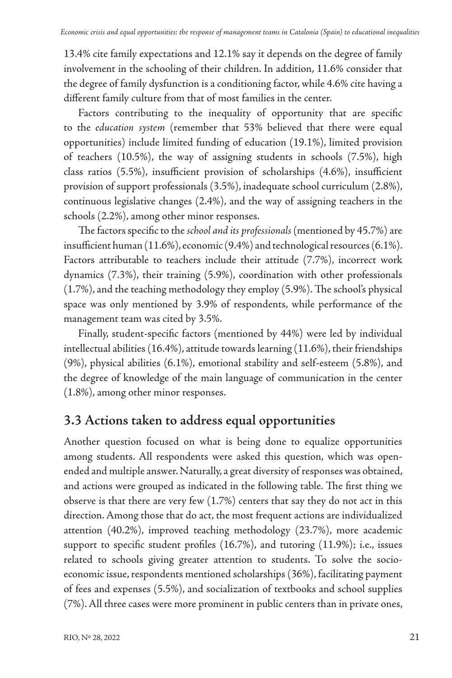13.4% cite family expectations and 12.1% say it depends on the degree of family involvement in the schooling of their children. In addition, 11.6% consider that the degree of family dysfunction is a conditioning factor, while 4.6% cite having a different family culture from that of most families in the center.

Factors contributing to the inequality of opportunity that are specific to the *education system* (remember that 53% believed that there were equal opportunities) include limited funding of education (19.1%), limited provision of teachers (10.5%), the way of assigning students in schools (7.5%), high class ratios (5.5%), insufficient provision of scholarships (4.6%), insufficient provision of support professionals (3.5%), inadequate school curriculum (2.8%), continuous legislative changes (2.4%), and the way of assigning teachers in the schools (2.2%), among other minor responses.

The factors specific to the *school and its professionals* (mentioned by 45.7%) are insufficient human (11.6%), economic (9.4%) and technological resources (6.1%). Factors attributable to teachers include their attitude (7.7%), incorrect work dynamics (7.3%), their training (5.9%), coordination with other professionals (1.7%), and the teaching methodology they employ (5.9%). The school's physical space was only mentioned by 3.9% of respondents, while performance of the management team was cited by 3.5%.

Finally, student-specific factors (mentioned by 44%) were led by individual intellectual abilities (16.4%), attitude towards learning (11.6%), their friendships (9%), physical abilities (6.1%), emotional stability and self-esteem (5.8%), and the degree of knowledge of the main language of communication in the center (1.8%), among other minor responses.

#### **3.3 Actions taken to address equal opportunities**

Another question focused on what is being done to equalize opportunities among students. All respondents were asked this question, which was openended and multiple answer. Naturally, a great diversity of responses was obtained, and actions were grouped as indicated in the following table. The first thing we observe is that there are very few (1.7%) centers that say they do not act in this direction. Among those that do act, the most frequent actions are individualized attention (40.2%), improved teaching methodology (23.7%), more academic support to specific student profiles (16.7%), and tutoring (11.9%); i.e., issues related to schools giving greater attention to students. To solve the socioeconomic issue, respondents mentioned scholarships (36%), facilitating payment of fees and expenses (5.5%), and socialization of textbooks and school supplies (7%). All three cases were more prominent in public centers than in private ones,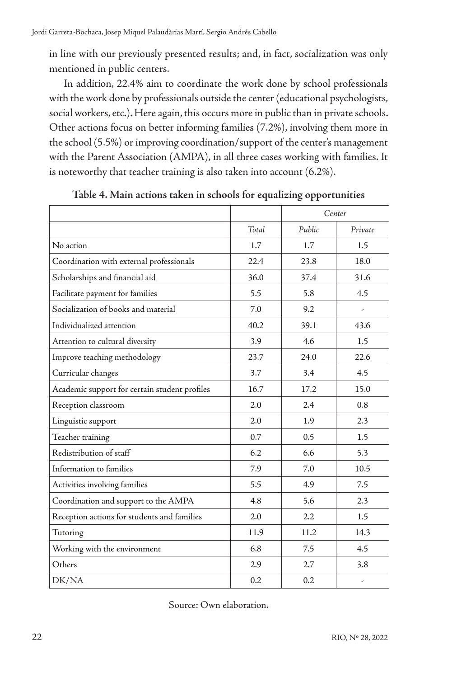in line with our previously presented results; and, in fact, socialization was only mentioned in public centers.

In addition, 22.4% aim to coordinate the work done by school professionals with the work done by professionals outside the center (educational psychologists, social workers, etc.). Here again, this occurs more in public than in private schools. Other actions focus on better informing families (7.2%), involving them more in the school (5.5%) or improving coordination/support of the center's management with the Parent Association (AMPA), in all three cases working with families. It is noteworthy that teacher training is also taken into account (6.2%).

|                                               |       | Center |                          |
|-----------------------------------------------|-------|--------|--------------------------|
|                                               | Total | Public | Private                  |
| No action                                     | 1.7   | 1.7    | 1.5                      |
| Coordination with external professionals      | 22.4  | 23.8   | 18.0                     |
| Scholarships and financial aid                | 36.0  | 37.4   | 31.6                     |
| Facilitate payment for families               | 5.5   | 5.8    | 4.5                      |
| Socialization of books and material           | 7.0   | 9.2    | $\overline{\phantom{a}}$ |
| Individualized attention                      | 40.2  | 39.1   | 43.6                     |
| Attention to cultural diversity               | 3.9   | 4.6    | 1.5                      |
| Improve teaching methodology                  | 23.7  | 24.0   | 22.6                     |
| Curricular changes                            | 3.7   | 3.4    | 4.5                      |
| Academic support for certain student profiles | 16.7  | 17.2   | 15.0                     |
| Reception classroom                           | 2.0   | 2.4    | 0.8                      |
| Linguistic support                            | 2.0   | 1.9    | 2.3                      |
| Teacher training                              | 0.7   | 0.5    | 1.5                      |
| Redistribution of staff                       | 6.2   | 6.6    | 5.3                      |
| Information to families                       | 7.9   | 7.0    | 10.5                     |
| Activities involving families                 | 5.5   | 4.9    | 7.5                      |
| Coordination and support to the AMPA          | 4.8   | 5.6    | 2.3                      |
| Reception actions for students and families   | 2.0   | 2.2    | 1.5                      |
| Tutoring                                      | 11.9  | 11.2   | 14.3                     |
| Working with the environment                  | 6.8   | 7.5    | 4.5                      |
| Others                                        | 2.9   | 2.7    | 3.8                      |
| DK/NA                                         | 0.2   | 0.2    | ٠                        |

**Table 4. Main actions taken in schools for equalizing opportunities** 

Source: Own elaboration.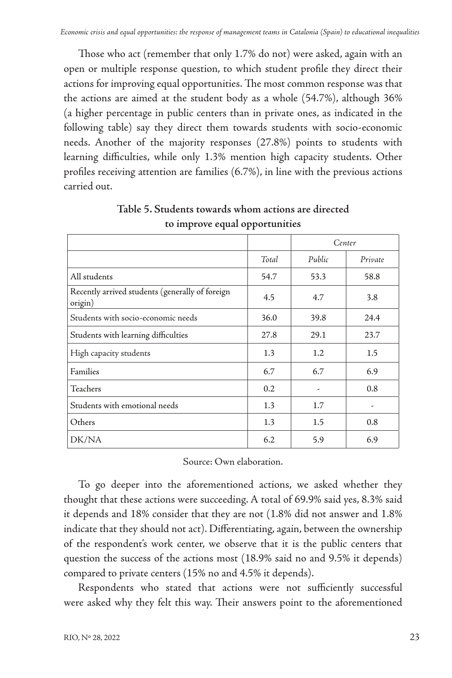Those who act (remember that only 1.7% do not) were asked, again with an open or multiple response question, to which student profile they direct their actions for improving equal opportunities. The most common response was that the actions are aimed at the student body as a whole (54.7%), although 36% (a higher percentage in public centers than in private ones, as indicated in the following table) say they direct them towards students with socio-economic needs. Another of the majority responses (27.8%) points to students with learning difficulties, while only 1.3% mention high capacity students. Other profiles receiving attention are families (6.7%), in line with the previous actions carried out.

|                                                            |                  | Center |         |
|------------------------------------------------------------|------------------|--------|---------|
|                                                            | Total            | Public | Private |
| All students                                               | 54.7             | 53.3   | 58.8    |
| Recently arrived students (generally of foreign<br>origin) | 4.5              | 4.7    | 3.8     |
| Students with socio-economic needs                         | 36.0             | 39.8   | 24.4    |
| Students with learning difficulties                        | 27.8             | 29.1   | 23.7    |
| High capacity students                                     | $1.3\phantom{0}$ | 1.2    | $1.5\,$ |
| Families                                                   | 6.7              | 6.7    | 6.9     |
| Teachers                                                   | 0.2              | ٠      | 0.8     |
| Students with emotional needs                              | $1.3\phantom{0}$ | 1.7    | ٠       |
| Others                                                     | 1.3              | 1.5    | 0.8     |
| DK/NA                                                      | 6.2              | 5.9    | 6.9     |

**Table 5. Students towards whom actions are directed to improve equal opportunities**

Source: Own elaboration.

To go deeper into the aforementioned actions, we asked whether they thought that these actions were succeeding. A total of 69.9% said yes, 8.3% said it depends and 18% consider that they are not (1.8% did not answer and 1.8% indicate that they should not act). Differentiating, again, between the ownership of the respondent's work center, we observe that it is the public centers that question the success of the actions most (18.9% said no and 9.5% it depends) compared to private centers (15% no and 4.5% it depends).

Respondents who stated that actions were not sufficiently successful were asked why they felt this way. Their answers point to the aforementioned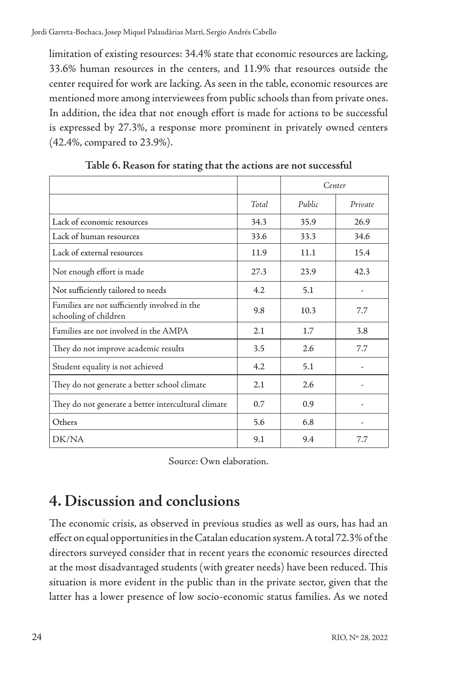limitation of existing resources: 34.4% state that economic resources are lacking, 33.6% human resources in the centers, and 11.9% that resources outside the center required for work are lacking. As seen in the table, economic resources are mentioned more among interviewees from public schools than from private ones. In addition, the idea that not enough effort is made for actions to be successful is expressed by 27.3%, a response more prominent in privately owned centers (42.4%, compared to 23.9%).

|                                                                        |       | Center |         |
|------------------------------------------------------------------------|-------|--------|---------|
|                                                                        | Total | Public | Private |
| Lack of economic resources                                             | 34.3  | 35.9   | 26.9    |
| Lack of human resources                                                | 33.6  | 33.3   | 34.6    |
| Lack of external resources                                             | 11.9  | 11.1   | 15.4    |
| Not enough effort is made                                              | 27.3  | 23.9   | 42.3    |
| Not sufficiently tailored to needs                                     | 4.2   | 5.1    | ٠       |
| Families are not sufficiently involved in the<br>schooling of children | 9.8   | 10.3   | 7.7     |
| Families are not involved in the AMPA                                  | 2.1   | 1.7    | 3.8     |
| They do not improve academic results                                   | 3.5   | 2.6    | 7.7     |
| Student equality is not achieved                                       | 4.2   | 5.1    |         |
| They do not generate a better school climate                           | 2.1   | 2.6    |         |
| They do not generate a better intercultural climate                    | 0.7   | 0.9    |         |
| Others                                                                 | 5.6   | 6.8    |         |
| DK/NA                                                                  | 9.1   | 9.4    | 7.7     |

**Table 6. Reason for stating that the actions are not successful**

Source: Own elaboration.

### **4. Discussion and conclusions**

The economic crisis, as observed in previous studies as well as ours, has had an effect on equal opportunities in the Catalan education system. A total 72.3% of the directors surveyed consider that in recent years the economic resources directed at the most disadvantaged students (with greater needs) have been reduced. This situation is more evident in the public than in the private sector, given that the latter has a lower presence of low socio-economic status families. As we noted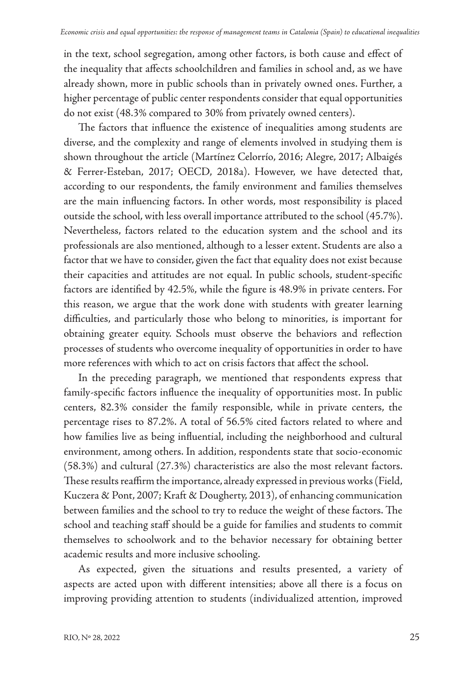in the text, school segregation, among other factors, is both cause and effect of the inequality that affects schoolchildren and families in school and, as we have already shown, more in public schools than in privately owned ones. Further, a higher percentage of public center respondents consider that equal opportunities do not exist (48.3% compared to 30% from privately owned centers).

The factors that influence the existence of inequalities among students are diverse, and the complexity and range of elements involved in studying them is shown throughout the article (Martínez Celorrío, 2016; Alegre, 2017; Albaigés & Ferrer-Esteban, 2017; OECD, 2018a). However, we have detected that, according to our respondents, the family environment and families themselves are the main influencing factors. In other words, most responsibility is placed outside the school, with less overall importance attributed to the school (45.7%). Nevertheless, factors related to the education system and the school and its professionals are also mentioned, although to a lesser extent. Students are also a factor that we have to consider, given the fact that equality does not exist because their capacities and attitudes are not equal. In public schools, student-specific factors are identified by 42.5%, while the figure is 48.9% in private centers. For this reason, we argue that the work done with students with greater learning difficulties, and particularly those who belong to minorities, is important for obtaining greater equity. Schools must observe the behaviors and reflection processes of students who overcome inequality of opportunities in order to have more references with which to act on crisis factors that affect the school.

In the preceding paragraph, we mentioned that respondents express that family-specific factors influence the inequality of opportunities most. In public centers, 82.3% consider the family responsible, while in private centers, the percentage rises to 87.2%. A total of 56.5% cited factors related to where and how families live as being influential, including the neighborhood and cultural environment, among others. In addition, respondents state that socio-economic (58.3%) and cultural (27.3%) characteristics are also the most relevant factors. These results reaffirm the importance, already expressed in previous works (Field, Kuczera & Pont, 2007; Kraft & Dougherty, 2013), of enhancing communication between families and the school to try to reduce the weight of these factors. The school and teaching staff should be a guide for families and students to commit themselves to schoolwork and to the behavior necessary for obtaining better academic results and more inclusive schooling.

As expected, given the situations and results presented, a variety of aspects are acted upon with different intensities; above all there is a focus on improving providing attention to students (individualized attention, improved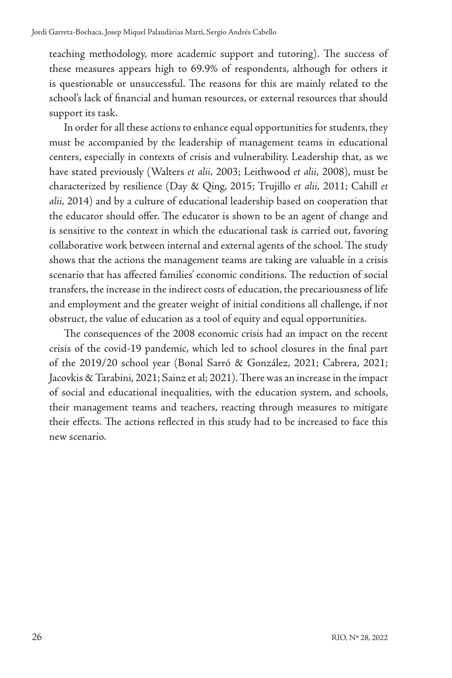teaching methodology, more academic support and tutoring). The success of these measures appears high to 69.9% of respondents, although for others it is questionable or unsuccessful. The reasons for this are mainly related to the school's lack of financial and human resources, or external resources that should support its task.

In order for all these actions to enhance equal opportunities for students, they must be accompanied by the leadership of management teams in educational centers, especially in contexts of crisis and vulnerability. Leadership that, as we have stated previously (Walters *et alii,* 2003; Leithwood *et alii,* 2008), must be characterized by resilience (Day & Qing, 2015; Trujillo *et alii,* 2011; Cahill *et alii,* 2014) and by a culture of educational leadership based on cooperation that the educator should offer. The educator is shown to be an agent of change and is sensitive to the context in which the educational task is carried out, favoring collaborative work between internal and external agents of the school. The study shows that the actions the management teams are taking are valuable in a crisis scenario that has affected families' economic conditions. The reduction of social transfers, the increase in the indirect costs of education, the precariousness of life and employment and the greater weight of initial conditions all challenge, if not obstruct, the value of education as a tool of equity and equal opportunities.

The consequences of the 2008 economic crisis had an impact on the recent crisis of the covid-19 pandemic, which led to school closures in the final part of the 2019/20 school year (Bonal Sarró & González, 2021; Cabrera, 2021; Jacovkis & Tarabini, 2021; Sainz et al; 2021). There was an increase in the impact of social and educational inequalities, with the education system, and schools, their management teams and teachers, reacting through measures to mitigate their effects. The actions reflected in this study had to be increased to face this new scenario.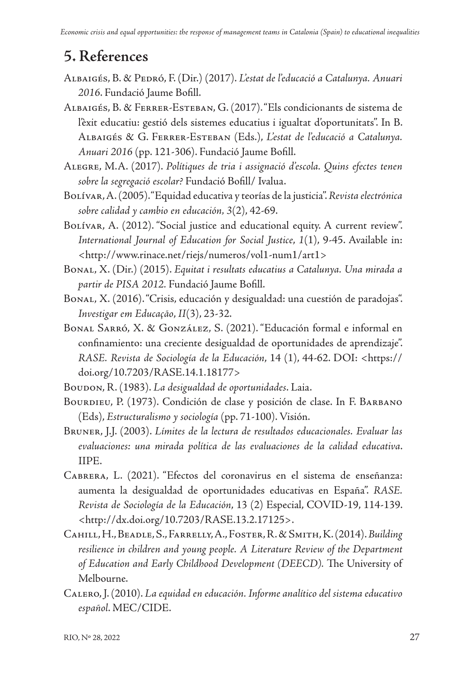## **5. References**

- Albaigés, B. & Pedró, F. (Dir.) (2017). *L'estat de l'educació a Catalunya. Anuari 2016*. Fundació Jaume Bofill.
- Albaigés, B. & Ferrer-Esteban, G. (2017). "Els condicionants de sistema de l'èxit educatiu: gestió dels sistemes educatius i igualtat d'oportunitats". In B. Albaigés & G. Ferrer-Esteban (Eds.), *L'estat de l'educació a Catalunya. Anuari 2016* (pp. 121-306). Fundació Jaume Bofill.
- Alegre, M.A. (2017). *Polítiques de tria i assignació d'escola. Quins efectes tenen sobre la segregació escolar?* Fundació Bofill/ Ivalua.
- Bolívar, A. (2005). "Equidad educativa y teorías de la justicia". *Revista electrónica sobre calidad y cambio en educación, 3*(2), 42-69.
- BOLÍVAR, A. (2012). "Social justice and educational equity. A current review". *International Journal of Education for Social Justice*, *1*(1), 9-45. Available in: [<http://www.rinace.net/riejs/numeros/vol1-num1/art1](http://www.rinace.net/riejs/numeros/vol1-num1/art1)>
- Bonal, X. (Dir.) (2015). *Equitat i resultats educatius a Catalunya. Una mirada a partir de PISA 2012.* Fundació Jaume Bofill.
- Bonal, X. (2016). "Crisis, educación y desigualdad: una cuestión de paradojas". *Investigar em Educação*, *II*(3), 23-32.
- Bonal Sarró, X. & González, S. (2021). "Educación formal e informal en confinamiento: una creciente desigualdad de oportunidades de aprendizaje". *RASE. Revista de Sociología de la Educación*, 14 (1), 44-62. DOI: [<https://](https://doi.org/10.7203/RASE.14.1.18177) [doi.org/10.7203/RASE.14.1.18177>](https://doi.org/10.7203/RASE.14.1.18177)
- Boudon, R. (1983). *La desigualdad de oportunidades*. Laia.
- BOURDIEU, P. (1973). Condición de clase y posición de clase. In F. BARBANO (Eds), *Estructuralismo y sociología* (pp. 71-100). Visión.
- Bruner, J.J. (2003). *Límites de la lectura de resultados educacionales. Evaluar las evaluaciones: una mirada política de las evaluaciones de la calidad educativa*. IIPE.
- Cabrera, L. (2021). "Efectos del coronavirus en el sistema de enseñanza: aumenta la desigualdad de oportunidades educativas en España". *RASE. Revista de Sociología de la Educación*, 13 (2) Especial, COVID-19, 114-139. [<http://dx.doi.org/10.7203/RASE.13.2.17125>](http://dx.doi.org/10.7203/RASE.13.2.17125).
- Cahill, H., Beadle, S., Farrelly, A., Foster, R. & Smith, K. (2014). *Building*  resilience in children and young people. A Literature Review of the Department *of Education and Early Childhood Development (DEECD).* The University of Melbourne.
- Calero, J. (2010). *La equidad en educación. Informe analítico del sistema educativo español*. MEC/CIDE.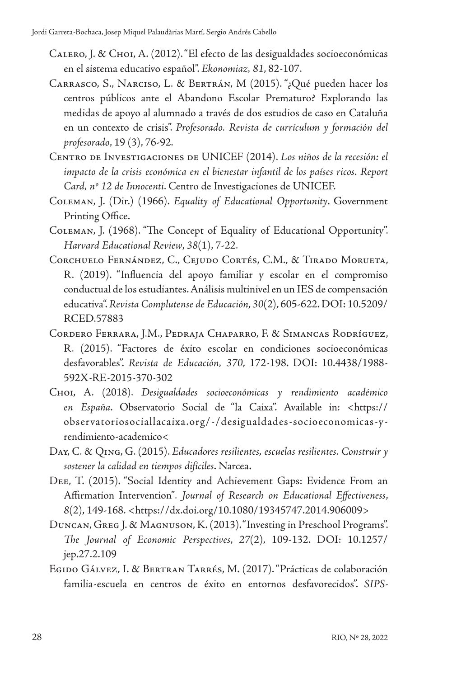- Calero, J. & Choi, A. (2012). "El efecto de las desigualdades socioeconómicas en el sistema educativo español". *Ekonomiaz, 81*, 82-107.
- Carrasco, S., Narciso, L. & Bertrán, M (2015). "¿Qué pueden hacer los centros públicos ante el Abandono Escolar Prematuro? Explorando las medidas de apoyo al alumnado a través de dos estudios de caso en Cataluña en un contexto de crisis". *Profesorado. Revista de currículum y formación del profesorado*, 19 (3), 76-92.
- Centro de Investigaciones de UNICEF (2014). *Los niños de la recesión: el impacto de la crisis económica en el bienestar infantil de los países ricos. Report Card, nº 12 de Innocenti*. Centro de Investigaciones de UNICEF.
- Coleman, J. (Dir.) (1966). *Equality of Educational Opportunity*. Government Printing Office.
- Coleman, J. (1968). "The Concept of Equality of Educational Opportunity". *Harvard Educational Review*, *38*(1), 7-22.
- Corchuelo Fernández, C., Cejudo Cortés, C.M., & Tirado Morueta, R. (2019). "Influencia del apoyo familiar y escolar en el compromiso conductual de los estudiantes. Análisis multinivel en un IES de compensación educativa". *Revista Complutense de Educación*, *30*(2), 605-622. DOI: 10.5209/ RCED.57883
- Cordero Ferrara, J.M., Pedraja Chaparro, F. & Simancas Rodríguez, R. (2015). "Factores de éxito escolar en condiciones socioeconómicas desfavorables". *Revista de Educación, 370*, 172-198. DOI: 10.4438/1988- 592X-RE-2015-370-302
- Choi, A. (2018). *Desigualdades socioeconómicas y rendimiento académico en España*. Observatorio Social de "la Caixa". Available in: <[https://](https://observatoriosociallacaixa.org/-/desigualdades-socioeconomicas-y-rendimiento-academico) [observatoriosociallacaixa.org/-/desigualdades-socioeconomicas-y](https://observatoriosociallacaixa.org/-/desigualdades-socioeconomicas-y-rendimiento-academico)[rendimiento-academico<](https://observatoriosociallacaixa.org/-/desigualdades-socioeconomicas-y-rendimiento-academico)
- Day, C. & Qing, G. (2015). *Educadores resilientes, escuelas resilientes. Construir y sostener la calidad en tiempos difíciles*. Narcea.
- Dee, T. (2015). "Social Identity and Achievement Gaps: Evidence From an Affirmation Intervention"*. Journal of Research on Educational Effectiveness*, *8*(2), 149-168. [<https://dx.doi.org/10.1080/19345747.2014.906009>](https://dx.doi.org/10.1080/19345747.2014.906009)
- Duncan, Greg J. & Magnuson, K. (2013). "Investing in Preschool Programs". *The Journal of Economic Perspectives*, *27*(2), 109-132. DOI: 10.1257/ jep.27.2.109
- Egido Gálvez, I. & Bertran Tarrés, M. (2017). "Prácticas de colaboración familia-escuela en centros de éxito en entornos desfavorecidos". *SIPS-*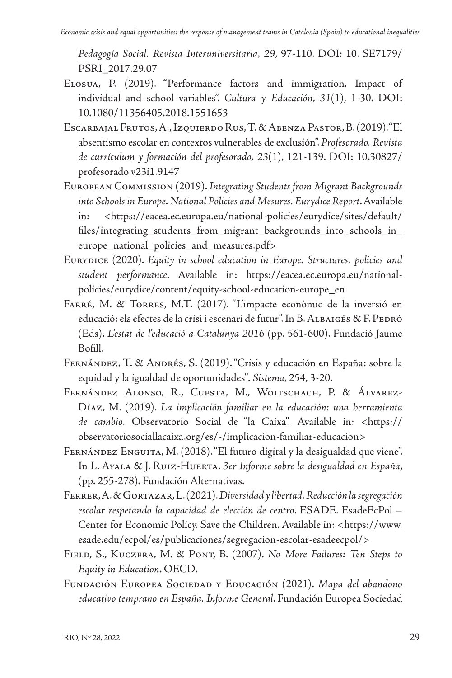*Pedagogía Social. Revista Interuniversitaria, 29*, 97-110. DOI: 10. SE7179/ PSRI\_2017.29.07

- Elosua, P. (2019). "Performance factors and immigration. Impact of individual and school variables". *Cultura y Educación*, *31*(1), 1-30. DOI: 10.1080/11356405.2018.1551653
- Escarbajal Frutos, A., Izquierdo Rus, T. & Abenza Pastor, B. (2019). "El absentismo escolar en contextos vulnerables de exclusión". *Profesorado. Revista de currículum y formación del profesorado, 23*(1), 121-139. DOI: 10.30827/ profesorado.v23i1.9147
- European Commission (2019). *Integrating Students from Migrant Backgrounds into Schools in Europe. National Policies and Mesures. Eurydice Report*. Available in: [<https://eacea.ec.europa.eu/national-policies/eurydice/sites/default/](https://eacea.ec.europa.eu/national-policies/eurydice/sites/default/files/integrating_students_from_migrant_backgrounds_into_schools_in_europe_national_policies_and_measures.pdf) [files/integrating\\_students\\_from\\_migrant\\_backgrounds\\_into\\_schools\\_in\\_](https://eacea.ec.europa.eu/national-policies/eurydice/sites/default/files/integrating_students_from_migrant_backgrounds_into_schools_in_europe_national_policies_and_measures.pdf) [europe\\_national\\_policies\\_and\\_measures.pdf](https://eacea.ec.europa.eu/national-policies/eurydice/sites/default/files/integrating_students_from_migrant_backgrounds_into_schools_in_europe_national_policies_and_measures.pdf)>
- Eurydice (2020). *Equity in school education in Europe. Structures, policies and student performance*. Available in: [https://eacea.ec.europa.eu/national](https://eacea.ec.europa.eu/national-policies/eurydice/content/equity-school-education-europe_en)[policies/eurydice/content/equity-school-education-europe\\_en](https://eacea.ec.europa.eu/national-policies/eurydice/content/equity-school-education-europe_en)
- Farré, M. & Torres, M.T. (2017). "L'impacte econòmic de la inversió en educació: els efectes de la crisi i escenari de futur". In B. ALBAIGÉS & F. PEDRÓ (Eds), *L'estat de l'educació a Catalunya 2016* (pp. 561-600). Fundació Jaume Bofill.
- Fernández, T. & Andrés, S. (2019). "Crisis y educación en España: sobre la equidad y la igualdad de oportunidades"*. Sistema*, 254, 3-20.
- FERNÁNDEZ ALONSO, R., CUESTA, M., WOITSCHACH, P. & ÁLVAREZ-Díaz, M. (2019). *La implicación familiar en la educación: una herramienta de cambio.* Observatorio Social de "la Caixa". Available in: [<https://](https://observatoriosociallacaixa.org/es/-/implicacion-familiar-educacion) [observatoriosociallacaixa.org/es/-/implicacion-familiar-educacion](https://observatoriosociallacaixa.org/es/-/implicacion-familiar-educacion)>
- Fernández Enguita, M. (2018). "El futuro digital y la desigualdad que viene". In L. Ayala & J. Ruiz-Huerta. *3er Informe sobre la desigualdad en España*, (pp. 255-278). Fundación Alternativas.
- Ferrer, A. & Gortazar, L. (2021). *Diversidad y libertad. Reducción la segregación escolar respetando la capacidad de elección de centro*. ESADE. EsadeEcPol – Center for Economic Policy. Save the Children. Available in: [<https://www.](https://www.esade.edu/ecpol/es/publicaciones/segregacion-escolar-esadeecpol/) [esade.edu/ecpol/es/publicaciones/segregacion-escolar-esadeecpol/](https://www.esade.edu/ecpol/es/publicaciones/segregacion-escolar-esadeecpol/)>
- Field, S., Kuczera, M. & Pont, B. (2007). *No More Failures: Ten Steps to Equity in Education*. OECD.
- Fundación Europea Sociedad y Educación (2021). *Mapa del abandono educativo temprano en España. Informe General*. Fundación Europea Sociedad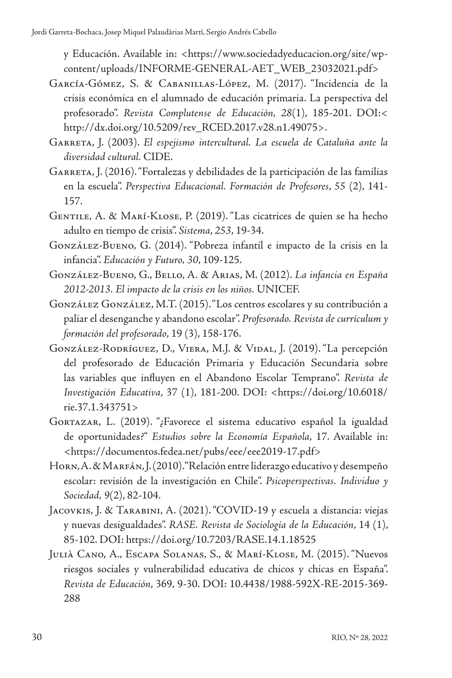y Educación. Available in: <[https://www.sociedadyeducacion.org/site/wp](https://www.sociedadyeducacion.org/site/wp-content/uploads/INFORME-GENERAL-AET_WEB_23032021.pdf)[content/uploads/INFORME-GENERAL-AET\\_WEB\\_23032021.pdf](https://www.sociedadyeducacion.org/site/wp-content/uploads/INFORME-GENERAL-AET_WEB_23032021.pdf)>

- García-Gómez, S. & Cabanillas-López, M. (2017). "Incidencia de la crisis económica en el alumnado de educación primaria. La perspectiva del profesorado". *Revista Complutense de Educación, 28*(1), 185-201. DOI:< [http://dx.doi.org/10.5209/rev\\_RCED.2017.v28.n1.49075](http://dx.doi.org/10.5209/rev_RCED.2017.v28.n1.49075)>.
- Garreta, J. (2003). *El espejismo intercultural. La escuela de Cataluña ante la diversidad cultural.* CIDE.
- GARRETA, J. (2016). "Fortalezas y debilidades de la participación de las familias en la escuela". *Perspectiva Educacional. Formación de Profesores*, *55* (2), 141- 157.
- Gentile, A. & Marí-Klose, P. (2019). "Las cicatrices de quien se ha hecho adulto en tiempo de crisis". *Sistema*, *253*, 19-34.
- González-Bueno, G. (2014). "Pobreza infantil e impacto de la crisis en la infancia". *Educación y Futuro, 30*, 109-125.
- González-Bueno, G., Bello, A. & Arias, M. (2012). *La infancia en España 2012-2013. El impacto de la crisis en los niños.* UNICEF.
- González González, M.T. (2015). "Los centros escolares y su contribución a paliar el desenganche y abandono escolar". *Profesorado. Revista de currículum y formación del profesorado*, 19 (3), 158-176.
- González-Rodríguez, D., Viera, M.J. & Vidal, J. (2019). "La percepción del profesorado de Educación Primaria y Educación Secundaria sobre las variables que influyen en el Abandono Escolar Temprano". *Revista de Investigación Educativa*, 37 (1), 181-200. DOI: <[https://doi.org/10.6018/](https://doi.org/10.6018/rie.37.1.343751) [rie.37.1.343751>](https://doi.org/10.6018/rie.37.1.343751)
- Gortazar, L. (2019). "¿Favorece el sistema educativo español la igualdad de oportunidades?" *Estudios sobre la Economía Española*, 17. Available in: [<https://documentos.fedea.net/pubs/eee/eee2019-17.pdf>](https://documentos.fedea.net/pubs/eee/eee2019-17.pdf)
- Horn, A. & Marfán, J. (2010). "Relación entre liderazgo educativo y desempeño escolar: revisión de la investigación en Chile". *Psicoperspectivas. Individuo y Sociedad, 9*(2), 82-104.
- Jacovkis, J. & Tarabini, A. (2021). "COVID-19 y escuela a distancia: viejas y nuevas desigualdades". *RASE. Revista de Sociología de la Educación*, 14 (1), 85-102. DOI:<https://doi.org/10.7203/RASE.14.1.18525>
- Julià Cano, A., Escapa Solanas, S., & Marí-Klose, M. (2015). "Nuevos riesgos sociales y vulnerabilidad educativa de chicos y chicas en España". *Revista de Educación*, 369, 9-30. DOI: 10.4438/1988-592X-RE-2015-369- 288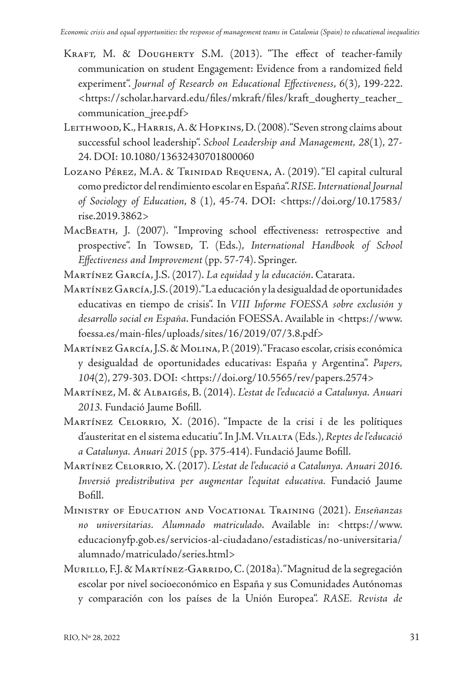- KRAFT, M. & DOUGHERTY S.M. (2013). "The effect of teacher-family communication on student Engagement: Evidence from a randomized field experiment". *Journal of Research on Educational Effectiveness*, *6*(3), 199-222. <[https://scholar.harvard.edu/files/mkraft/files/kraft\\_dougherty\\_teacher\\_](https://scholar.harvard.edu/files/mkraft/files/kraft_dougherty_teacher_communication_jree.pdf) [communication\\_jree.pdf>](https://scholar.harvard.edu/files/mkraft/files/kraft_dougherty_teacher_communication_jree.pdf)
- LEITHWOOD, K., HARRIS, A. & HOPKINS, D. (2008). "Seven strong claims about successful school leadership". *School Leadership and Management, 28*(1), 27- 24. DOI: 10.1080/13632430701800060
- LOZANO PÉREZ, M.A. & TRINIDAD REQUENA, A. (2019). "El capital cultural como predictor del rendimiento escolar en España". *RISE. International Journal of Sociology of Education*, 8 (1), 45-74. DOI: <[https://doi.org/10.17583/](https://doi.org/10.17583/rise.2019.3862) [rise.2019.3862](https://doi.org/10.17583/rise.2019.3862)>
- MacBeath, J. (2007). "Improving school effectiveness: retrospective and prospective". In Towsep, T. (Eds.), *International Handbook of School Effectiveness and Improvement* (pp. 57-74). Springer.

Martínez García, J.S. (2017). *La equidad y la educación*. Catarata.

- Martínez García, J.S. (2019). "La educación y la desigualdad de oportunidades educativas en tiempo de crisis". In *VIII Informe FOESSA sobre exclusión y desarrollo social en España*. Fundación FOESSA. Available in <[https://www.](https://www.foessa.es/main-files/uploads/sites/16/2019/07/3.8.pdf) [foessa.es/main-files/uploads/sites/16/2019/07/3.8.pdf](https://www.foessa.es/main-files/uploads/sites/16/2019/07/3.8.pdf)>
- Martínez García, J.S. & Molina, P. (2019). "Fracaso escolar, crisis económica y desigualdad de oportunidades educativas: España y Argentina". *Papers, 104*(2), 279-303. DOI: [<https://doi.org/10.5565/rev/papers.2574>](https://doi.org/10.5565/rev/papers.2574)
- Martínez, M. & Albaigés, B. (2014). *L'estat de l'educació a Catalunya. Anuari 2013.* Fundació Jaume Bofill.
- Martínez Celorrio, X. (2016). "Impacte de la crisi i de les polítiques d'austeritat en el sistema educatiu". In J.M. Vilalta (Eds.), *Reptes de l'educació a Catalunya. Anuari 2015* (pp. 375-414). Fundació Jaume Bofill.
- Martínez Celorrio, X. (2017). *L'estat de l'educació a Catalunya. Anuari 2016. Inversió predistributiva per augmentar l'equitat educativa.* Fundació Jaume Bofill.
- Ministry of Education and Vocational Training (2021). *Enseñanzas no universitarias. Alumnado matriculado*. Available in: <https://www. educacionyfp.gob.es/servicios-al-ciudadano/estadisticas/no-universitaria/ alumnado/matriculado/series.html>
- MURILLO, F.J. & MARTÍNEZ-GARRIDO, C. (2018a). "Magnitud de la segregación escolar por nivel socioeconómico en España y sus Comunidades Autónomas y comparación con los países de la Unión Europea". *RASE. Revista de*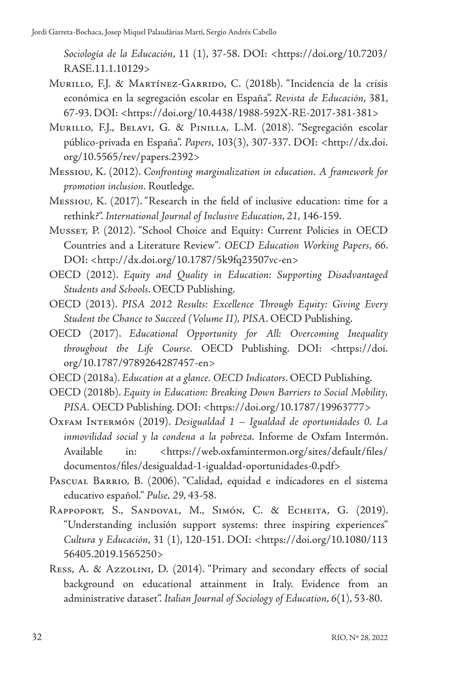*Sociología de la Educación*, 11 (1), 37-58. DOI: <[https://doi.org/10.7203/](https://doi.org/10.7203/RASE.11.1.10129) [RASE.11.1.10129>](https://doi.org/10.7203/RASE.11.1.10129)

- MURILLO, F.J. & MARTÍNEZ-GARRIDO, C. (2018b). "Incidencia de la crisis económica en la segregación escolar en España". *Revista de Educación*, 381, 67-93. DOI: <<https://doi.org/10.4438/1988-592X-RE-2017-381-381>>
- Murillo, F.J., Belavi, G. & Pinilla, L.M. (2018). "Segregación escolar público-privada en España". *Papers*, 103(3), 307-337. DOI: [<http://dx.doi.](http://dx.doi.org/10.5565/rev/papers.2392) [org/10.5565/rev/papers.2392](http://dx.doi.org/10.5565/rev/papers.2392)>
- Messiou, K. (2012). *Confronting marginalization in education. A framework for promotion inclusion.* Routledge.
- Messiou, K. (2017). "Research in the field of inclusive education: time for a rethink?". *International Journal of Inclusive Education*, *21*, 146-159.
- Musset, P. (2012). "School Choice and Equity: Current Policies in OECD Countries and a Literature Review"*. OECD Education Working Papers*, *66*. DOI: [<http://dx.doi.org/10.1787/5k9fq23507vc-en>](http://dx.doi.org/10.1787/5k9fq23507vc-en)
- OECD (2012). *Equity and Quality in Education: Supporting Disadvantaged Students and Schools*. OECD Publishing.
- OECD (2013). *PISA 2012 Results: Excellence Through Equity: Giving Every Student the Chance to Succeed (Volume II), PISA*. OECD Publishing.
- OECD (2017). *Educational Opportunity for All: Overcoming Inequality throughout the Life Course.* OECD Publishing. DOI: <https://doi. org/10.1787/9789264287457-en>
- OECD (2018a). *Education at a glance. OECD Indicators*. OECD Publishing.
- OECD (2018b). *Equity in Education: Breaking Down Barriers to Social Mobility, PISA.* OECD Publishing. DOI: <[https://doi.org/10.1787/19963777>](https://doi.org/10.1787/19963777)
- Oxfam Intermón (2019). *Desigualdad 1 Igualdad de oportunidades 0. La inmovilidad social y la condena a la pobreza.* Informe de Oxfam Intermón. Available in: <https://web.oxfamintermon.org/sites/default/files/ documentos/files/desigualdad-1-igualdad-oportunidades-0.pdf>
- PASCUAL BARRIO, B. (2006). "Calidad, equidad e indicadores en el sistema educativo español." *Pulse, 29*, 43-58.
- RAPPOPORT, S., SANDOVAL, M., SIMÓN, C. & ECHEITA, G. (2019). "Understanding inclusión support systems: three inspiring experiences" *Cultura y Educación*, 31 (1), 120-151. DOI: <[https://doi.org/10.1080/113](https://doi.org/10.1080/11356405.2019.1565250) [56405.2019.1565250](https://doi.org/10.1080/11356405.2019.1565250)>
- Ress, A. & Azzolini, D. (2014). "Primary and secondary effects of social background on educational attainment in Italy. Evidence from an administrative dataset". *Italian Journal of Sociology of Education*, *6*(1), 53-80.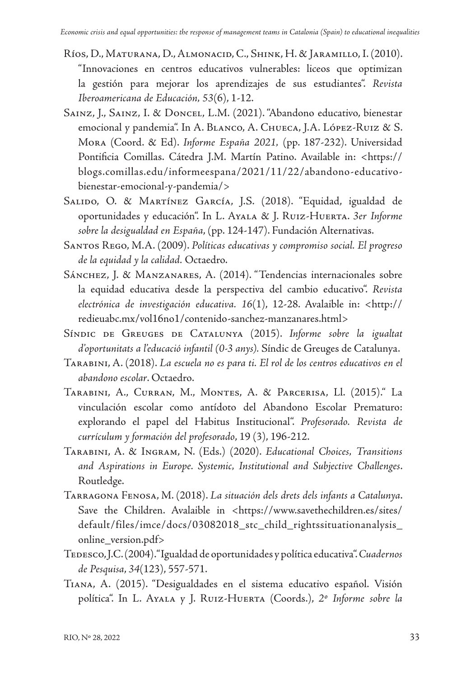- Ríos, D., Maturana, D., Almonacid, C., Shink, H. & Jaramillo, I. (2010). "Innovaciones en centros educativos vulnerables: liceos que optimizan la gestión para mejorar los aprendizajes de sus estudiantes". *Revista Iberoamericana de Educación, 53*(6), 1-12.
- Sainz, J., Sainz, I. & Doncel, L.M. (2021). "Abandono educativo, bienestar emocional y pandemia". In A. Blanco, A. Chueca, J.A. López-Ruiz & S. Mora (Coord. & Ed). *Informe España 2021,* (pp. 187-232). Universidad Pontificia Comillas. Cátedra J.M. Martín Patino. Available in: <https:// blogs.comillas.edu/informeespana/2021/11/22/abandono-educativobienestar-emocional-y-pandemia/>
- Salido, O. & Martínez García, J.S. (2018). "Equidad, igualdad de oportunidades y educación". In L. Ayala & J. Ruiz-Huerta. *3er Informe sobre la desigualdad en España*, (pp. 124-147). Fundación Alternativas.
- Santos Rego, M.A. (2009). *Políticas educativas y compromiso social. El progreso de la equidad y la calidad.* Octaedro.
- SÁNCHEZ, J. & MANZANARES, A. (2014). "Tendencias internacionales sobre la equidad educativa desde la perspectiva del cambio educativo". *Revista electrónica de investigación educativa. 16*(1), 12-28. Avalaible in: <http:// redieuabc.mx/vol16no1/contenido-sanchez-manzanares.html>
- Síndic de Greuges de Catalunya (2015). *Informe sobre la igualtat d'oportunitats a l'educació infantil (0-3 anys).* Síndic de Greuges de Catalunya.
- Tarabini, A. (2018). *La escuela no es para ti. El rol de los centros educativos en el abandono escolar*. Octaedro.
- Tarabini, A., Curran, M., Montes, A. & Parcerisa, Ll. (2015)." La vinculación escolar como antídoto del Abandono Escolar Prematuro: explorando el papel del Habitus Institucional". *Profesorado. Revista de currículum y formación del profesorado*, 19 (3), 196-212.
- Tarabini, A. & Ingram, N. (Eds.) (2020). *Educational Choices, Transitions and Aspirations in Europe. Systemic, Institutional and Subjective Challenges*. Routledge.
- Tarragona Fenosa, M. (2018). *La situación dels drets dels infants a Catalunya*. Save the Children. Avalaible in <https://www.savethechildren.es/sites/ default/files/imce/docs/03082018\_stc\_child\_rightssituationanalysis\_ online\_version.pdf>
- Tedesco, J.C. (2004). "Igualdad de oportunidades y política educativa". *Cuadernos de Pesquisa*, *34*(123), 557-571.
- Tiana, A. (2015). "Desigualdades en el sistema educativo español. Visión política". In L. Ayala y J. Ruiz-Huerta (Coords.), *2º Informe sobre la*